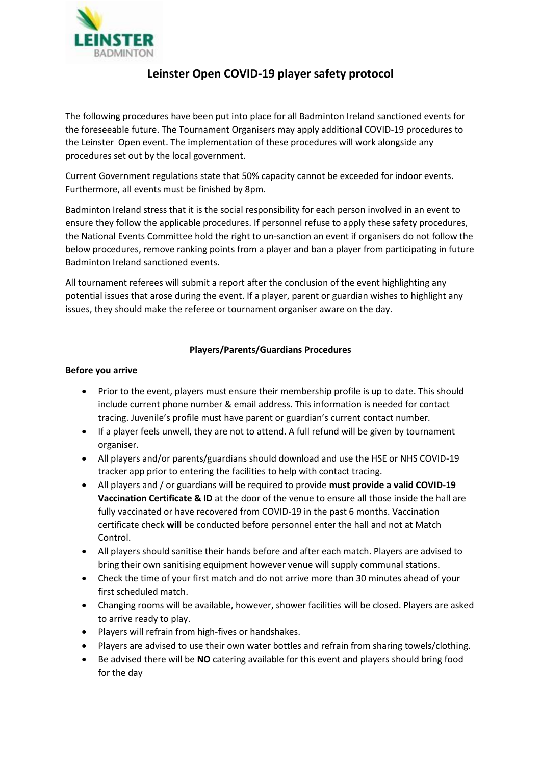

# **Leinster Open COVID-19 player safety protocol**

The following procedures have been put into place for all Badminton Ireland sanctioned events for the foreseeable future. The Tournament Organisers may apply additional COVID-19 procedures to the Leinster Open event. The implementation of these procedures will work alongside any procedures set out by the local government.

Current Government regulations state that 50% capacity cannot be exceeded for indoor events. Furthermore, all events must be finished by 8pm.

Badminton Ireland stress that it is the social responsibility for each person involved in an event to ensure they follow the applicable procedures. If personnel refuse to apply these safety procedures, the National Events Committee hold the right to un-sanction an event if organisers do not follow the below procedures, remove ranking points from a player and ban a player from participating in future Badminton Ireland sanctioned events.

All tournament referees will submit a report after the conclusion of the event highlighting any potential issues that arose during the event. If a player, parent or guardian wishes to highlight any issues, they should make the referee or tournament organiser aware on the day.

## **Players/Parents/Guardians Procedures**

#### **Before you arrive**

- Prior to the event, players must ensure their membership profile is up to date. This should include current phone number & email address. This information is needed for contact tracing. Juvenile's profile must have parent or guardian's current contact number.
- If a player feels unwell, they are not to attend. A full refund will be given by tournament organiser.
- All players and/or parents/guardians should download and use the HSE or NHS COVID-19 tracker app prior to entering the facilities to help with contact tracing.
- All players and / or guardians will be required to provide **must provide a valid COVID-19 Vaccination Certificate & ID** at the door of the venue to ensure all those inside the hall are fully vaccinated or have recovered from COVID-19 in the past 6 months. Vaccination certificate check **will** be conducted before personnel enter the hall and not at Match Control.
- All players should sanitise their hands before and after each match. Players are advised to bring their own sanitising equipment however venue will supply communal stations.
- Check the time of your first match and do not arrive more than 30 minutes ahead of your first scheduled match.
- Changing rooms will be available, however, shower facilities will be closed. Players are asked to arrive ready to play.
- Players will refrain from high-fives or handshakes.
- Players are advised to use their own water bottles and refrain from sharing towels/clothing.
- Be advised there will be **NO** catering available for this event and players should bring food for the day